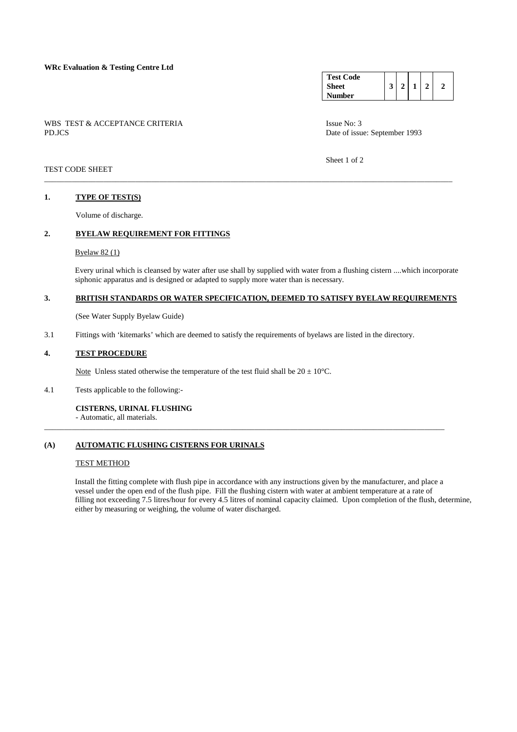**WRc Evaluation & Testing Centre Ltd**

WBS TEST & ACCEPTANCE CRITERIA ISSUE No: 3 PD.JCS Date of issue: September 1993

**Test Code Sheet Number 3 2 1 2 2** 

Sheet 1 of 2

## TEST CODE SHEET

### **1. TYPE OF TEST(S)**

Volume of discharge.

## **2. BYELAW REQUIREMENT FOR FITTINGS**

#### Byelaw 82 (1)

 Every urinal which is cleansed by water after use shall by supplied with water from a flushing cistern ....which incorporate siphonic apparatus and is designed or adapted to supply more water than is necessary.

#### **3. BRITISH STANDARDS OR WATER SPECIFICATION, DEEMED TO SATISFY BYELAW REQUIREMENTS**

\_\_\_\_\_\_\_\_\_\_\_\_\_\_\_\_\_\_\_\_\_\_\_\_\_\_\_\_\_\_\_\_\_\_\_\_\_\_\_\_\_\_\_\_\_\_\_\_\_\_\_\_\_\_\_\_\_\_\_\_\_\_\_\_\_\_\_\_\_\_\_\_\_\_\_\_\_\_\_\_\_\_\_\_\_\_\_\_\_\_\_\_\_\_\_\_\_\_\_\_\_

\_\_\_\_\_\_\_\_\_\_\_\_\_\_\_\_\_\_\_\_\_\_\_\_\_\_\_\_\_\_\_\_\_\_\_\_\_\_\_\_\_\_\_\_\_\_\_\_\_\_\_\_\_\_\_\_\_\_\_\_\_\_\_\_\_\_\_\_\_\_\_\_\_\_\_\_\_\_\_\_\_\_\_\_\_\_\_\_\_\_\_\_\_\_\_\_\_\_\_\_\_\_\_

(See Water Supply Byelaw Guide)

3.1 Fittings with 'kitemarks' which are deemed to satisfy the requirements of byelaws are listed in the directory.

### **4. TEST PROCEDURE**

Note Unless stated otherwise the temperature of the test fluid shall be  $20 \pm 10^{\circ}$ C.

#### 4.1 Tests applicable to the following:-

## **CISTERNS, URINAL FLUSHING**

- Automatic, all materials.

## **(A) AUTOMATIC FLUSHING CISTERNS FOR URINALS**

#### TEST METHOD

 Install the fitting complete with flush pipe in accordance with any instructions given by the manufacturer, and place a vessel under the open end of the flush pipe. Fill the flushing cistern with water at ambient temperature at a rate of filling not exceeding 7.5 litres/hour for every 4.5 litres of nominal capacity claimed. Upon completion of the flush, determine, either by measuring or weighing, the volume of water discharged.